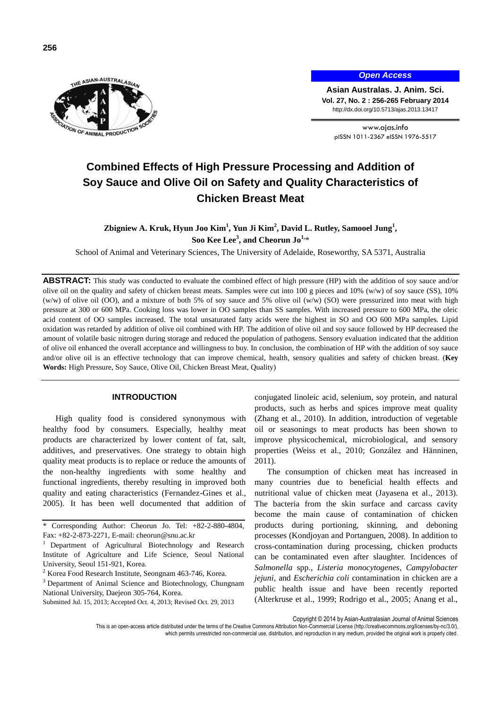

*Open Access*

**Asian Australas. J. Anim. Sci. Vol. 27, No. 2 : 256-265 February 2014** http://dx.doi.org/10.5713/ajas.2013.13417

www.ajas.info pISSN 1011-2367 eISSN 1976-5517

# **Combined Effects of High Pressure Processing and Addition of Soy Sauce and Olive Oil on Safety and Quality Characteristics of Chicken Breast Meat**

**Zbigniew A. Kruk, Hyun Joo Kim<sup>1</sup> , Yun Ji Kim<sup>2</sup> , David L. Rutley, Samooel Jung<sup>1</sup> , Soo Kee Lee<sup>3</sup> , and Cheorun Jo1,**\*

School of Animal and Veterinary Sciences, The University of Adelaide, Roseworthy, SA 5371, Australia

**ABSTRACT:** This study was conducted to evaluate the combined effect of high pressure (HP) with the addition of soy sauce and/or olive oil on the quality and safety of chicken breast meats. Samples were cut into  $100 \text{ g}$  pieces and  $10\%$  (w/w) of soy sauce (SS),  $10\%$ (w/w) of olive oil (OO), and a mixture of both 5% of soy sauce and 5% olive oil (w/w) (SO) were pressurized into meat with high pressure at 300 or 600 MPa. Cooking loss was lower in OO samples than SS samples. With increased pressure to 600 MPa, the oleic acid content of OO samples increased. The total unsaturated fatty acids were the highest in SO and OO 600 MPa samples. Lipid oxidation was retarded by addition of olive oil combined with HP. The addition of olive oil and soy sauce followed by HP decreased the amount of volatile basic nitrogen during storage and reduced the population of pathogens. Sensory evaluation indicated that the addition of olive oil enhanced the overall acceptance and willingness to buy. In conclusion, the combination of HP with the addition of soy sauce and/or olive oil is an effective technology that can improve chemical, health, sensory qualities and safety of chicken breast. (**Key Words:** High Pressure, Soy Sauce, Olive Oil, Chicken Breast Meat, Quality)

# **INTRODUCTION**

High quality food is considered synonymous with healthy food by consumers. Especially, healthy meat products are characterized by lower content of fat, salt, additives, and preservatives. One strategy to obtain high quality meat products is to replace or reduce the amounts of the non-healthy ingredients with some healthy and functional ingredients, thereby resulting in improved both quality and eating characteristics (Fernandez-Gines et al., 2005). It has been well documented that addition of conjugated linoleic acid, selenium, soy protein, and natural products, such as herbs and spices improve meat quality (Zhang et al., 2010). In addition, introduction of vegetable oil or seasonings to meat products has been shown to improve physicochemical, microbiological, and sensory properties (Weiss et al., 2010; González and Hänninen, 2011).

The consumption of chicken meat has increased in many countries due to beneficial health effects and nutritional value of chicken meat (Jayasena et al., 2013). The bacteria from the skin surface and carcass cavity become the main cause of contamination of chicken products during portioning, skinning, and deboning processes (Kondjoyan and Portanguen, 2008). In addition to cross-contamination during processing, chicken products can be contaminated even after slaughter. Incidences of *Salmonella* spp., *Listeria monocytogenes*, *Campylobacter jejuni*, and *Escherichia coli* contamination in chicken are a public health issue and have been recently reported (Alterkruse et al., 1999; Rodrigo et al., 2005; Anang et al.,

Copyright © 2014 by Asian-Australasian Journal of Animal Sciences

This is an open-access article distributed under the terms of the Creative Commons Attribution Non-Commercial License [\(http://creativecommons.org/licenses/by-nc/3.0/\),](http://creativecommons.org/licenses/by-nc/3.0/) which permits unrestricted non-commercial use, distribution, and reproduction in any medium, provided the original work is properly cited.

<sup>\*</sup> Corresponding Author: Cheorun Jo. Tel: +82-2-880-4804, Fax: +82-2-873-2271, E-mail: cheorun@snu.ac.kr

<sup>1</sup> Department of Agricultural Biotechnology and Research Institute of Agriculture and Life Science, Seoul National University, Seoul 151-921, Korea.

<sup>2</sup> Korea Food Research Institute, Seongnam 463-746, Korea.

<sup>&</sup>lt;sup>3</sup> Department of Animal Science and Biotechnology, Chungnam National University, Daejeon 305-764, Korea.

Submitted Jul. 15, 2013; Accepted Oct. 4, 2013; Revised Oct. 29, 2013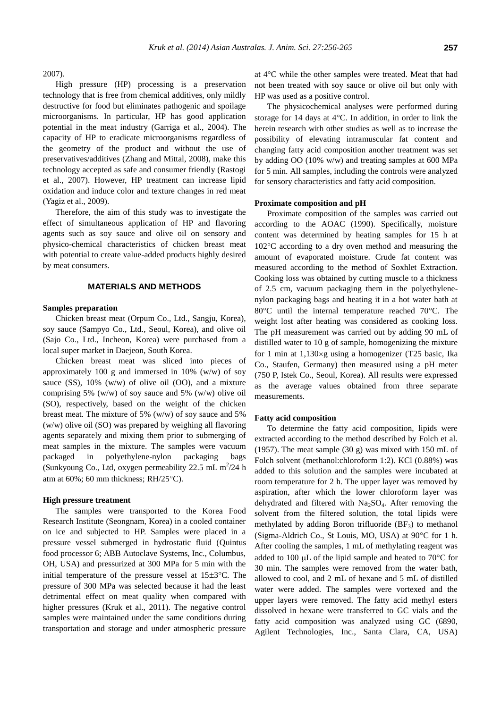High pressure (HP) processing is a preservation technology that is free from chemical additives, only mildly destructive for food but eliminates pathogenic and spoilage microorganisms. In particular, HP has good application potential in the meat industry (Garriga et al., 2004). The capacity of HP to eradicate microorganisms regardless of the geometry of the product and without the use of preservatives/additives (Zhang and Mittal, 2008), make this technology accepted as safe and consumer friendly (Rastogi et al., 2007). However, HP treatment can increase lipid oxidation and induce color and texture changes in red meat (Yagiz et al., 2009).

Therefore, the aim of this study was to investigate the effect of simultaneous application of HP and flavoring agents such as soy sauce and olive oil on sensory and physico-chemical characteristics of chicken breast meat with potential to create value-added products highly desired by meat consumers.

### **MATERIALS AND METHODS**

#### **Samples preparation**

Chicken breast meat (Orpum Co., Ltd., Sangju, Korea), soy sauce (Sampyo Co., Ltd., Seoul, Korea), and olive oil (Sajo Co., Ltd., Incheon, Korea) were purchased from a local super market in Daejeon, South Korea.

Chicken breast meat was sliced into pieces of approximately 100 g and immersed in 10% (w/w) of soy sauce (SS),  $10\%$  (w/w) of olive oil (OO), and a mixture comprising 5% (w/w) of soy sauce and 5% (w/w) olive oil (SO), respectively, based on the weight of the chicken breast meat. The mixture of 5% (w/w) of soy sauce and 5% (w/w) olive oil (SO) was prepared by weighing all flavoring agents separately and mixing them prior to submerging of meat samples in the mixture. The samples were vacuum packaged in polyethylene-nylon packaging bags (Sunkyoung Co., Ltd, oxygen permeability  $22.5$  mL m<sup>2</sup>/24 h atm at  $60\%$ ; 60 mm thickness; RH/25 $\rm ^{\circ}$ C).

# **High pressure treatment**

The samples were transported to the Korea Food Research Institute (Seongnam, Korea) in a cooled container on ice and subjected to HP. Samples were placed in a pressure vessel submerged in hydrostatic fluid (Quintus food processor 6; ABB Autoclave Systems, Inc., Columbus, OH, USA) and pressurized at 300 MPa for 5 min with the initial temperature of the pressure vessel at  $15\pm3$ °C. The pressure of 300 MPa was selected because it had the least detrimental effect on meat quality when compared with higher pressures (Kruk et al., 2011). The negative control samples were maintained under the same conditions during transportation and storage and under atmospheric pressure at 4°C while the other samples were treated. Meat that had not been treated with soy sauce or olive oil but only with HP was used as a positive control.

The physicochemical analyses were performed during storage for 14 days at  $4^{\circ}$ C. In addition, in order to link the herein research with other studies as well as to increase the possibility of elevating intramuscular fat content and changing fatty acid composition another treatment was set by adding OO (10% w/w) and treating samples at 600 MPa for 5 min. All samples, including the controls were analyzed for sensory characteristics and fatty acid composition.

# **Proximate composition and pH**

Proximate composition of the samples was carried out according to the AOAC (1990). Specifically, moisture content was determined by heating samples for 15 h at 102C according to a dry oven method and measuring the amount of evaporated moisture. Crude fat content was measured according to the method of Soxhlet Extraction. Cooking loss was obtained by cutting muscle to a thickness of 2.5 cm, vacuum packaging them in the polyethylenenylon packaging bags and heating it in a hot water bath at 80 $\degree$ C until the internal temperature reached 70 $\degree$ C. The weight lost after heating was considered as cooking loss. The pH measurement was carried out by adding 90 mL of distilled water to 10 g of sample, homogenizing the mixture for 1 min at  $1,130 \times g$  using a homogenizer (T25 basic, Ika Co., Staufen, Germany) then measured using a pH meter (750 P, Istek Co., Seoul, Korea). All results were expressed as the average values obtained from three separate measurements.

# **Fatty acid composition**

To determine the fatty acid composition, lipids were extracted according to the method described by Folch et al. (1957). The meat sample (30 g) was mixed with 150 mL of Folch solvent (methanol:chloroform 1:2). KCl (0.88%) was added to this solution and the samples were incubated at room temperature for 2 h. The upper layer was removed by aspiration, after which the lower chloroform layer was dehydrated and filtered with  $Na<sub>2</sub>SO<sub>4</sub>$ . After removing the solvent from the filtered solution, the total lipids were methylated by adding Boron trifluoride  $(BF_3)$  to methanol (Sigma-Aldrich Co., St Louis, MO, USA) at  $90^{\circ}$ C for 1 h. After cooling the samples, 1 mL of methylating reagent was added to 100  $\mu$ L of the lipid sample and heated to 70 $\degree$ C for 30 min. The samples were removed from the water bath, allowed to cool, and 2 mL of hexane and 5 mL of distilled water were added. The samples were vortexed and the upper layers were removed. The fatty acid methyl esters dissolved in hexane were transferred to GC vials and the fatty acid composition was analyzed using GC (6890, Agilent Technologies, Inc., Santa Clara, CA, USA)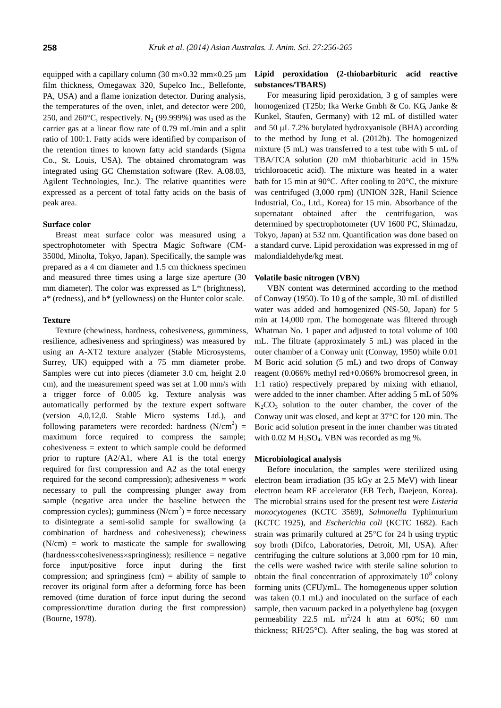equipped with a capillary column (30 m $\times$ 0.32 mm $\times$ 0.25 µm film thickness, Omegawax 320, Supelco Inc., Bellefonte, PA, USA) and a flame ionization detector. During analysis, the temperatures of the oven, inlet, and detector were 200, 250, and 260 $^{\circ}$ C, respectively. N<sub>2</sub> (99.999%) was used as the carrier gas at a linear flow rate of 0.79 mL/min and a split ratio of 100:1. Fatty acids were identified by comparison of the retention times to known fatty acid standards (Sigma Co., St. Louis, USA). The obtained chromatogram was integrated using GC Chemstation software (Rev. A.08.03, Agilent Technologies, Inc.). The relative quantities were expressed as a percent of total fatty acids on the basis of peak area.

#### **Surface color**

Breast meat surface color was measured using a spectrophotometer with Spectra Magic Software (CM-3500d, Minolta, Tokyo, Japan). Specifically, the sample was prepared as a 4 cm diameter and 1.5 cm thickness specimen and measured three times using a large size aperture (30 mm diameter). The color was expressed as  $L^*$  (brightness), a\* (redness), and b\* (yellowness) on the Hunter color scale.

#### **Texture**

Texture (chewiness, hardness, cohesiveness, gumminess, resilience, adhesiveness and springiness) was measured by using an A-XT2 texture analyzer (Stable Microsystems, Surrey, UK) equipped with a 75 mm diameter probe. Samples were cut into pieces (diameter 3.0 cm, height 2.0 cm), and the measurement speed was set at 1.00 mm/s with a trigger force of 0.005 kg. Texture analysis was automatically performed by the texture expert software (version 4,0,12,0. Stable Micro systems Ltd.), and following parameters were recorded: hardness  $(N/cm^2)$  = maximum force required to compress the sample; cohesiveness = extent to which sample could be deformed prior to rupture (A2/A1, where A1 is the total energy required for first compression and A2 as the total energy required for the second compression); adhesiveness = work necessary to pull the compressing plunger away from sample (negative area under the baseline between the compression cycles); gumminess  $(N/cm<sup>2</sup>)$  = force necessary to disintegrate a semi-solid sample for swallowing (a combination of hardness and cohesiveness); chewiness  $(N/cm)$  = work to masticate the sample for swallowing (hardness×cohesiveness×springiness); resilience = negative force input/positive force input during the first compression; and springiness  $(cm)$  = ability of sample to recover its original form after a deforming force has been removed (time duration of force input during the second compression/time duration during the first compression) (Bourne, 1978).

# **Lipid peroxidation (2-thiobarbituric acid reactive substances/TBARS)**

For measuring lipid peroxidation, 3 g of samples were homogenized (T25b; Ika Werke Gmbh & Co. KG, Janke & Kunkel, Staufen, Germany) with 12 mL of distilled water and 50  $\mu$ L 7.2% butylated hydroxyanisole (BHA) according to the method by Jung et al. (2012b). The homogenized mixture (5 mL) was transferred to a test tube with 5 mL of TBA/TCA solution (20 mM thiobarbituric acid in 15% trichloroacetic acid). The mixture was heated in a water bath for 15 min at 90 $^{\circ}$ C. After cooling to 20 $^{\circ}$ C, the mixture was centrifuged (3,000 rpm) (UNION 32R, Hanil Science Industrial, Co., Ltd., Korea) for 15 min. Absorbance of the supernatant obtained after the centrifugation, was determined by spectrophotometer (UV 1600 PC, Shimadzu, Tokyo, Japan) at 532 nm. Quantification was done based on a standard curve. Lipid peroxidation was expressed in mg of malondialdehyde/kg meat.

#### **Volatile basic nitrogen (VBN)**

VBN content was determined according to the method of Conway (1950). To 10 g of the sample, 30 mL of distilled water was added and homogenized (NS-50, Japan) for 5 min at 14,000 rpm. The homogenate was filtered through Whatman No. 1 paper and adjusted to total volume of 100 mL. The filtrate (approximately 5 mL) was placed in the outer chamber of a Conway unit (Conway, 1950) while 0.01 M Boric acid solution (5 mL) and two drops of Conway reagent (0.066% methyl red+0.066% bromocresol green, in 1:1 ratio) respectively prepared by mixing with ethanol, were added to the inner chamber. After adding 5 mL of 50%  $K_2CO_3$  solution to the outer chamber, the cover of the Conway unit was closed, and kept at  $37^{\circ}$ C for 120 min. The Boric acid solution present in the inner chamber was titrated with  $0.02$  M H<sub>2</sub>SO<sub>4</sub>. VBN was recorded as mg %.

#### **Microbiological analysis**

Before inoculation, the samples were sterilized using electron beam irradiation (35 kGy at 2.5 MeV) with linear electron beam RF accelerator (EB Tech, Daejeon, Korea). The microbial strains used for the present test were *Listeria monocytogenes* (KCTC 3569), *Salmonella* Typhimurium (KCTC 1925), and *Escherichia coli* (KCTC 1682). Each strain was primarily cultured at  $25^{\circ}$ C for 24 h using tryptic soy broth (Difco, Laboratories, Detroit, MI, USA). After centrifuging the culture solutions at 3,000 rpm for 10 min, the cells were washed twice with sterile saline solution to obtain the final concentration of approximately  $10^8$  colony forming units (CFU)/mL. The homogeneous upper solution was taken (0.1 mL) and inoculated on the surface of each sample, then vacuum packed in a polyethylene bag (oxygen permeability 22.5 mL  $m^2/24$  h atm at 60%; 60 mm thickness; RH/25 $^{\circ}$ C). After sealing, the bag was stored at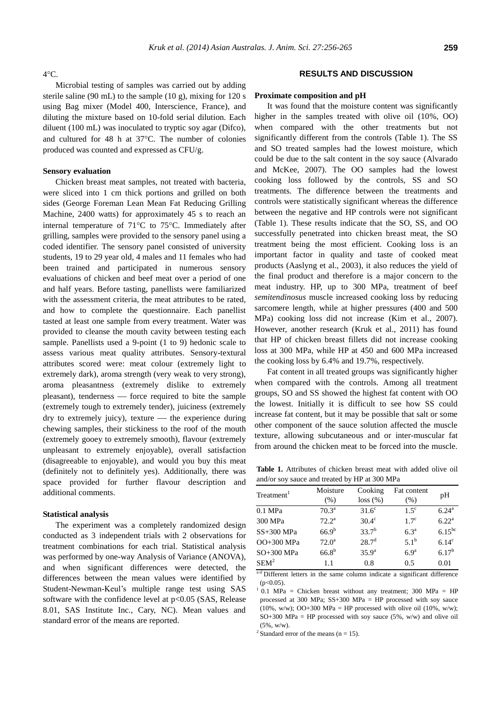#### $4^{\circ}$ C.

Microbial testing of samples was carried out by adding sterile saline (90 mL) to the sample (10 g), mixing for 120 s using Bag mixer (Model 400, Interscience, France), and diluting the mixture based on 10-fold serial dilution. Each diluent (100 mL) was inoculated to tryptic soy agar (Difco), and cultured for 48 h at  $37^{\circ}$ C. The number of colonies produced was counted and expressed as CFU/g.

# **Sensory evaluation**

Chicken breast meat samples, not treated with bacteria, were sliced into 1 cm thick portions and grilled on both sides (George Foreman Lean Mean Fat Reducing Grilling Machine, 2400 watts) for approximately 45 s to reach an internal temperature of  $71^{\circ}$ C to  $75^{\circ}$ C. Immediately after grilling, samples were provided to the sensory panel using a coded identifier. The sensory panel consisted of university students, 19 to 29 year old, 4 males and 11 females who had been trained and participated in numerous sensory evaluations of chicken and beef meat over a period of one and half years. Before tasting, panellists were familiarized with the assessment criteria, the meat attributes to be rated, and how to complete the questionnaire. Each panellist tasted at least one sample from every treatment. Water was provided to cleanse the mouth cavity between testing each sample. Panellists used a 9-point (1 to 9) hedonic scale to assess various meat quality attributes. Sensory-textural attributes scored were: meat colour (extremely light to extremely dark), aroma strength (very weak to very strong), aroma pleasantness (extremely dislike to extremely pleasant), tenderness — force required to bite the sample (extremely tough to extremely tender), juiciness (extremely dry to extremely juicy), texture  $-$  the experience during chewing samples, their stickiness to the roof of the mouth (extremely gooey to extremely smooth), flavour (extremely unpleasant to extremely enjoyable), overall satisfaction (disagreeable to enjoyable), and would you buy this meat (definitely not to definitely yes). Additionally, there was space provided for further flavour description and additional comments.

# **Statistical analysis**

The experiment was a completely randomized design conducted as 3 independent trials with 2 observations for treatment combinations for each trial. Statistical analysis was performed by one-way Analysis of Variance (ANOVA), and when significant differences were detected, the differences between the mean values were identified by Student-Newman-Keul's multiple range test using SAS software with the confidence level at  $p<0.05$  (SAS, Release 8.01, SAS Institute Inc., Cary, NC). Mean values and standard error of the means are reported.

# **RESULTS AND DISCUSSION**

#### **Proximate composition and pH**

It was found that the moisture content was significantly higher in the samples treated with olive oil (10%, OO) when compared with the other treatments but not significantly different from the controls (Table 1). The SS and SO treated samples had the lowest moisture, which could be due to the salt content in the soy sauce (Alvarado and McKee, 2007). The OO samples had the lowest cooking loss followed by the controls, SS and SO treatments. The difference between the treatments and controls were statistically significant whereas the difference between the negative and HP controls were not significant (Table 1). These results indicate that the SO, SS, and OO successfully penetrated into chicken breast meat, the SO treatment being the most efficient. Cooking loss is an important factor in quality and taste of cooked meat products (Aaslyng et al., 2003), it also reduces the yield of the final product and therefore is a major concern to the meat industry. HP, up to 300 MPa, treatment of beef *semitendinosus* muscle increased cooking loss by reducing sarcomere length, while at higher pressures (400 and 500 MPa) cooking loss did not increase (Kim et al., 2007). However, another research (Kruk et al., 2011) has found that HP of chicken breast fillets did not increase cooking loss at 300 MPa, while HP at 450 and 600 MPa increased the cooking loss by 6.4% and 19.7%, respectively.

Fat content in all treated groups was significantly higher when compared with the controls. Among all treatment groups, SO and SS showed the highest fat content with OO the lowest. Initially it is difficult to see how SS could increase fat content, but it may be possible that salt or some other component of the sauce solution affected the muscle texture, allowing subcutaneous and or inter-muscular fat from around the chicken meat to be forced into the muscle.

**Table 1.** Attributes of chicken breast meat with added olive oil and/or soy sauce and treated by HP at 300 MPa

| Treatment <sup>1</sup> | Moisture<br>(% )  | Cooking<br>$loss (\%)$ | Fat content<br>(% ) | pН                |
|------------------------|-------------------|------------------------|---------------------|-------------------|
| $0.1$ MPa              | $70.3^{\rm a}$    | $31.6^\circ$           | $1.5^\circ$         | $6.24^{\rm a}$    |
| 300 MPa                | $72.2^a$          | $30.4^\circ$           | $1.7^{\circ}$       | 6.22 <sup>a</sup> |
| SS+300 MPa             | 66.9 <sup>b</sup> | $33.7^{b}$             | 6.3 <sup>a</sup>    | $6.15^{bc}$       |
| OO+300 MPa             | $72.0^a$          | 28.7 <sup>d</sup>      | $5.1^{b}$           | 6.14 <sup>c</sup> |
| SO+300 MPa             | $66.8^{b}$        | $35.9^{a}$             | 6.9 <sup>a</sup>    | $6.17^{b}$        |
| $SEM^2$                | 11                | 0.8                    | 0.5                 | 0.01              |

a-d Different letters in the same column indicate a significant difference  $(p<0.05)$ .

 $1$  0.1 MPa = Chicken breast without any treatment; 300 MPa = HP processed at 300 MPa; SS+300 MPa = HP processed with soy sauce (10%, w/w); OO+300 MPa = HP processed with olive oil (10%, w/w);  $SO+300$  MPa = HP processed with soy sauce (5%, w/w) and olive oil (5%, w/w).

<sup>2</sup> Standard error of the means ( $n = 15$ ).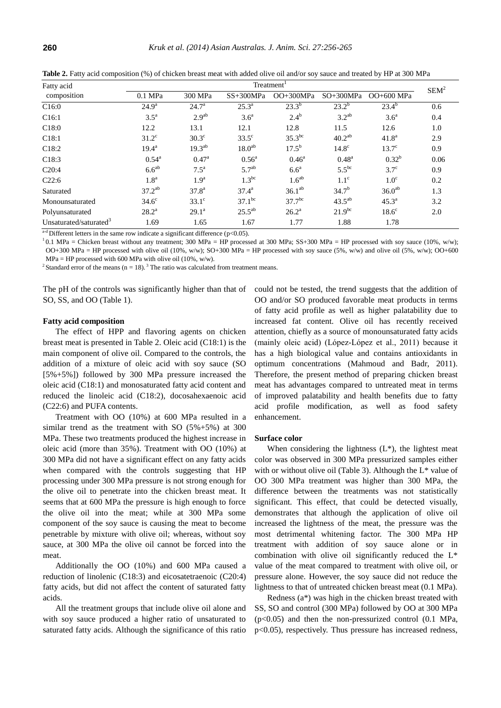| Fatty acid                         | Treatment <sup>1</sup> |                    |                    |                    |                    |                    | SEM <sup>2</sup> |
|------------------------------------|------------------------|--------------------|--------------------|--------------------|--------------------|--------------------|------------------|
| composition                        | $0.1$ MPa              | 300 MPa            | $SS+300MPa$        | $OO+300MPa$        | $SO+300MPa$        | OO+600 MPa         |                  |
| C16:0                              | $24.9^{\rm a}$         | $24.7^{\rm a}$     | $25.3^{a}$         | $23.3^{b}$         | $23.2^{b}$         | $23.4^{b}$         | 0.6              |
| C <sub>16:1</sub>                  | $3.5^{\mathrm{a}}$     | 2.9 <sup>ab</sup>  | 3.6 <sup>a</sup>   | $2.4^{\rm b}$      | $3.2^{ab}$         | 3.6 <sup>a</sup>   | 0.4              |
| C18:0                              | 12.2                   | 13.1               | 12.1               | 12.8               | 11.5               | 12.6               | 1.0              |
| C18:1                              | $31.2^{\circ}$         | $30.3^\circ$       | $33.5^\circ$       | $35.3^{bc}$        | 40.2 <sup>ab</sup> | 41.8 <sup>a</sup>  | 2.9              |
| C <sub>18:2</sub>                  | $19.4^{\rm a}$         | $19.3^{ab}$        | 18.0 <sup>ab</sup> | $17.5^{\rm b}$     | 14.8 <sup>c</sup>  | $13.7^\circ$       | 0.9              |
| C <sub>18:3</sub>                  | $0.54^{\rm a}$         | $0.47^{\rm a}$     | $0.56^{\rm a}$     | $0.46^{\rm a}$     | $0.48^{\rm a}$     | $0.32^{b}$         | 0.06             |
| C20:4                              | $6.6^{ab}$             | $7.5^{\mathrm{a}}$ | 5.7 <sup>ab</sup>  | $6.6^{\mathrm{a}}$ | $5.5^{bc}$         | $3.7^\circ$        | 0.9              |
| C22:6                              | 1.8 <sup>a</sup>       | 1.9 <sup>a</sup>   | $1.3^{bc}$         | 1.6 <sup>ab</sup>  | $1.1^{\circ}$      | 1.0 <sup>c</sup>   | 0.2              |
| Saturated                          | $37.2^{ab}$            | $37.8^{\rm a}$     | $37.4^{\rm a}$     | $36.1^{ab}$        | $34.7^{b}$         | 36.0 <sup>ab</sup> | 1.3              |
| Monounsaturated                    | $34.6^\circ$           | $33.1^\circ$       | $37.1^{bc}$        | $37.7^{bc}$        | $43.5^{ab}$        | $45.3^{\circ}$     | 3.2              |
| Polyunsaturated                    | $28.2^{\rm a}$         | $29.1^{\rm a}$     | $25.5^{ab}$        | $26.2^{\rm a}$     | $21.9^{bc}$        | $18.6^\circ$       | 2.0              |
| Unsaturated/saturated <sup>3</sup> | 1.69                   | 1.65               | 1.67               | 1.77               | 1.88               | 1.78               |                  |

**Table 2.** Fatty acid composition (%) of chicken breast meat with added olive oil and/or soy sauce and treated by HP at 300 MPa

 $a$ -d Different letters in the same row indicate a significant difference (p<0.05).

 $10.1$  MPa = Chicken breast without any treatment; 300 MPa = HP processed at 300 MPa; SS+300 MPa = HP processed with soy sauce (10%, w/w); OO+300 MPa = HP processed with olive oil (10%, w/w); SO+300 MPa = HP processed with soy sauce (5%, w/w) and olive oil (5%, w/w); OO+600  $MPa = HP$  processed with 600 MPa with olive oil (10%, w/w).

<sup>2</sup> Standard error of the means (n = 18).<sup>3</sup> The ratio was calculated from treatment means.

The pH of the controls was significantly higher than that of SO, SS, and OO (Table 1).

#### **Fatty acid composition**

The effect of HPP and flavoring agents on chicken breast meat is presented in Table 2. Oleic acid (C18:1) is the main component of olive oil. Compared to the controls, the addition of a mixture of oleic acid with soy sauce (SO [5%+5%]) followed by 300 MPa pressure increased the oleic acid (C18:1) and monosaturated fatty acid content and reduced the linoleic acid (C18:2), [docosahexaenoic a](http://en.wikipedia.org/wiki/Docosahexaenoic_acid)cid (C22:6) and PUFA contents.

Treatment with OO (10%) at 600 MPa resulted in a similar trend as the treatment with SO  $(5\% + 5\%)$  at 300 MPa. These two treatments produced the highest increase in oleic acid (more than 35%). Treatment with OO (10%) at 300 MPa did not have a significant effect on any fatty acids when compared with the controls suggesting that HP processing under 300 MPa pressure is not strong enough for the olive oil to penetrate into the chicken breast meat. It seems that at 600 MPa the pressure is high enough to force the olive oil into the meat; while at 300 MPa some component of the soy sauce is causing the meat to become penetrable by mixture with olive oil; whereas, without soy sauce, at 300 MPa the olive oil cannot be forced into the meat.

Additionally the OO (10%) and 600 MPa caused a reduction of linolenic (C18:3) and eicosatetraenoic (C20:4) fatty acids, but did not affect the content of saturated fatty acids.

All the treatment groups that include olive oil alone and with soy sauce produced a higher ratio of unsaturated to saturated fatty acids. Although the significance of this ratio could not be tested, the trend suggests that the addition of OO and/or SO produced favorable meat products in terms of fatty acid profile as well as higher palatability due to increased fat content. Olive oil has recently received attention, chiefly as a source of monounsaturated fatty acids (mainly oleic acid) (Lόpez-Lόpez et al., 2011) because it has a high biological value and contains antioxidants in optimum concentrations (Mahmoud and Badr, 2011). Therefore, the present method of preparing chicken breast meat has advantages compared to untreated meat in terms of improved palatability and health benefits due to fatty acid profile modification, as well as food safety enhancement.

#### **Surface color**

When considering the lightness  $(L^*)$ , the lightest meat color was observed in 300 MPa pressurized samples either with or without olive oil (Table 3). Although the  $L^*$  value of OO 300 MPa treatment was higher than 300 MPa, the difference between the treatments was not statistically significant. This effect, that could be detected visually, demonstrates that although the application of olive oil increased the lightness of the meat, the pressure was the most detrimental whitening factor. The 300 MPa HP treatment with addition of soy sauce alone or in combination with olive oil significantly reduced the L\* value of the meat compared to treatment with olive oil, or pressure alone. However, the soy sauce did not reduce the lightness to that of untreated chicken breast meat (0.1 MPa).

Redness (a\*) was high in the chicken breast treated with SS, SO and control (300 MPa) followed by OO at 300 MPa  $(p<0.05)$  and then the non-pressurized control  $(0.1 \text{ MPa})$ , p<0.05), respectively. Thus pressure has increased redness,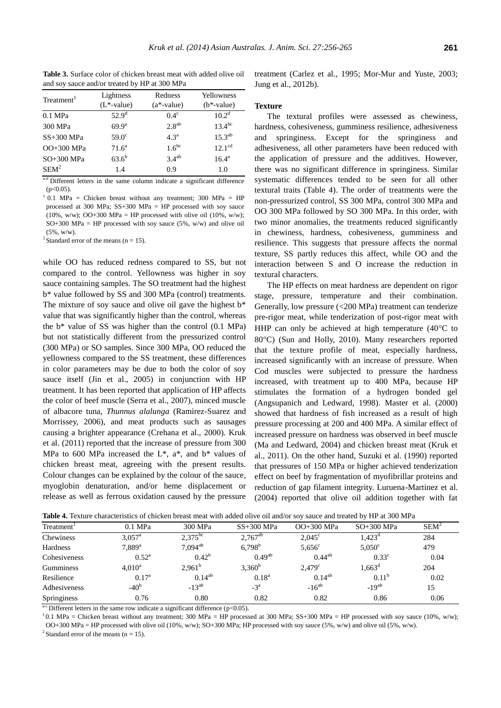**Table 3.** Surface color of chicken breast meat with added olive oil and soy sauce and/or treated by HP at 300 MPa

| Treatment <sup>1</sup> | Lightness<br>$(L^*$ -value) | Redness<br>$(a*-value)$ | Yellowness<br>$(b*-value)$ |
|------------------------|-----------------------------|-------------------------|----------------------------|
| $0.1$ MPa              | $52.9^{\rm d}$              | $0.4^\circ$             | $10.2^d$                   |
| 300 MPa                | 69.9 <sup>a</sup>           | $2.8^{ab}$              | $13.4^{bc}$                |
| $SS+300$ MPa           | $59.0^\circ$                | 4.3 <sup>a</sup>        | $15.3^{ab}$                |
| OO+300 MPa             | 71.6 <sup>a</sup>           | $1.6^{bc}$              | 12.1 <sup>cd</sup>         |
| SO+300 MPa             | $63.6^{b}$                  | $3.4^{ab}$              | $16.4^{\rm a}$             |
| $SEM^2$                | 1.4                         | 0.9                     | 1.0                        |

a<sup>-d</sup> Different letters in the same column indicate a significant difference  $(p<0.05)$ .

 $1$  0.1 MPa = Chicken breast without any treatment; 300 MPa = HP processed at 300 MPa; SS+300 MPa = HP processed with soy sauce (10%, w/w); OO+300 MPa = HP processed with olive oil (10%, w/w);  $SO+300$  MPa = HP processed with soy sauce (5%, w/w) and olive oil  $(5\%$ , w/w).

<sup>2</sup> Standard error of the means ( $n = 15$ ).

while OO has reduced redness compared to SS, but not compared to the control. Yellowness was higher in soy sauce containing samples. The SO treatment had the highest b\* value followed by SS and 300 MPa (control) treatments. The mixture of soy sauce and olive oil gave the highest b\* value that was significantly higher than the control, whereas the b\* value of SS was higher than the control (0.1 MPa) but not statistically different from the pressurized control (300 MPa) or SO samples. Since 300 MPa, OO reduced the yellowness compared to the SS treatment, these differences in color parameters may be due to both the color of soy sauce itself (Jin et al., 2005) in conjunction with HP treatment. It has been reported that application of HP affects the color of beef muscle (Serra et al., 2007), minced muscle of albacore tuna, *Thunnus alalunga* (Ramirez-Suarez and Morrissey, 2006), and meat products such as sausages causing a brighter appearance (Crehana et al., 2000). Kruk et al. (2011) reported that the increase of pressure from 300 MPa to 600 MPa increased the  $L^*$ ,  $a^*$ , and  $b^*$  values of chicken breast meat, agreeing with the present results. Colour changes can be explained by the colour of the sauce, myoglobin denaturation, and/or heme displacement or release as well as ferrous oxidation caused by the pressure

# **Texture**

Jung et al., 2012b).

The textural profiles were assessed as chewiness, hardness, cohesiveness, gumminess resilience, adhesiveness and springiness. Except for the springiness and adhesiveness, all other parameters have been reduced with the application of pressure and the additives. However, there was no significant difference in springiness. Similar systematic differences tended to be seen for all other textural traits (Table 4). The order of treatments were the non-pressurized control, SS 300 MPa, control 300 MPa and OO 300 MPa followed by SO 300 MPa. In this order, with two minor anomalies, the treatments reduced significantly in chewiness, hardness, cohesiveness, gumminess and resilience. This suggests that pressure affects the normal texture, SS partly reduces this affect, while OO and the interaction between S and O increase the reduction in textural characters.

treatment (Carlez et al., 1995; Mor-Mur and Yuste, 2003;

The HP effects on meat hardness are dependent on rigor stage, pressure, temperature and their combination. Generally, low pressure (<200 MPa) treatment can tenderize pre-rigor meat, while tenderization of post-rigor meat with HHP can only be achieved at high temperature  $(40^{\circ}C)$  to 80°C) (Sun and Holly, 2010). Many researchers reported that the texture profile of meat, especially hardness, increased significantly with an increase of pressure. When Cod muscles were subjected to pressure the hardness increased, with treatment up to 400 MPa, because HP stimulates the formation of a hydrogen bonded gel (Angsupanich and Ledward, 1998). Master et al. (2000) showed that hardness of fish increased as a result of high pressure processing at 200 and 400 MPa. A similar effect of increased pressure on hardness was observed in beef muscle (Ma and Ledward, 2004) and chicken breast meat (Kruk et al., 2011). On the other hand, Suzuki et al. (1990) reported that pressures of 150 MPa or higher achieved tenderization effect on beef by fragmentation of myofibrillar proteins and reduction of gap filament integrity. Luruena-Martinez et al. (2004) reported that olive oil addition together with fat

| Treatment <sup>1</sup> | $0.1$ MPa          | 300 MPa            | $SS+300$ MPa | OO+300 MPa      | $SO+300$ MPa    | $SEM^2$ |
|------------------------|--------------------|--------------------|--------------|-----------------|-----------------|---------|
| Chewiness              | $3.057^{\text{a}}$ | $2.375^{bc}$       | $2,767^{ab}$ | $2.045^{\circ}$ | $1,423^{\circ}$ | 284     |
| Hardness               | $7.889^{a}$        | $7,094^{ab}$       | $6.798^{b}$  | $5,656^{\circ}$ | $5.050^{\circ}$ | 479     |
| Cohesiveness           | $0.52^{\rm a}$     | $0.42^{b}$         | $0.49^{ab}$  | $0.44^{ab}$     | $0.33^{\circ}$  | 0.04    |
| Gumminess              | $4.010^a$          | 2.961 <sup>b</sup> | $3.360^{b}$  | $2.479^{\circ}$ | $1,663^d$       | 204     |
| Resilience             | 0.17 <sup>a</sup>  | $0.14^{ab}$        | $0.18^{a}$   | $0.14^{ab}$     | $0.11^{b}$      | 0.02    |
| Adhesiveness           | $-40b$             | $-13^{ab}$         | $-3^{\rm a}$ | $-16^{ab}$      | $-19^{ab}$      | 15      |
| Springiness            | 0.76               | 0.80               | 0.82         | 0.82            | 0.86            | 0.06    |

**Table 4.** Texture characteristics of chicken breast meat with added olive oil and/or soy sauce and treated by HP at 300 MPa

 $a-c$  Different letters in the same row indicate a significant difference (p<0.05).

 $10.1$  MPa = Chicken breast without any treatment; 300 MPa = HP processed at 300 MPa; SS+300 MPa = HP processed with soy sauce (10%, w/w); OO+300 MPa = HP processed with olive oil (10%, w/w); SO+300 MPa; HP processed with soy sauce (5%, w/w) and olive oil (5%, w/w).

<sup>2</sup> Standard error of the means ( $n = 15$ ).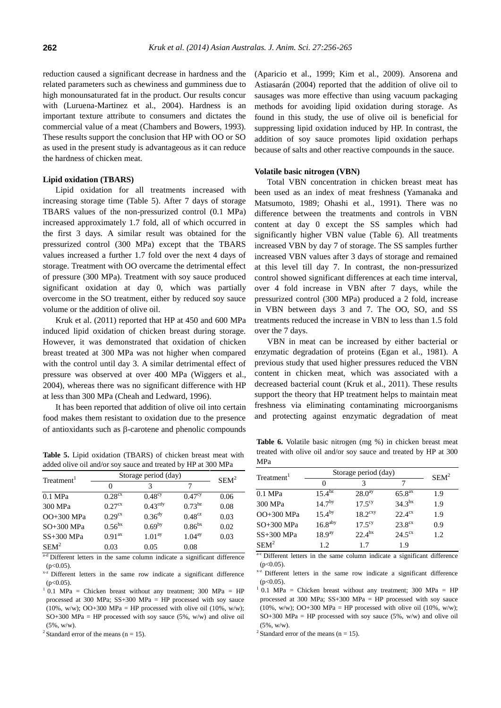reduction caused a significant decrease in hardness and the related parameters such as chewiness and gumminess due to high monounsaturated fat in the product. Our results concur with (Luruena-Martinez et al., 2004). Hardness is an important texture attribute to consumers and dictates the commercial value of a meat (Chambers and Bowers, 1993). These results support the conclusion that HP with OO or SO as used in the present study is advantageous as it can reduce the hardness of chicken meat.

### **Lipid oxidation (TBARS)**

Lipid oxidation for all treatments increased with increasing storage time (Table 5). After 7 days of storage TBARS values of the non-pressurized control (0.1 MPa) increased approximately 1.7 fold, all of which occurred in the first 3 days. A similar result was obtained for the pressurized control (300 MPa) except that the TBARS values increased a further 1.7 fold over the next 4 days of storage. Treatment with OO overcame the detrimental effect of pressure (300 MPa). Treatment with soy sauce produced significant oxidation at day 0, which was partially overcome in the SO treatment, either by reduced soy sauce volume or the addition of olive oil.

Kruk et al. (2011) reported that HP at 450 and 600 MPa induced lipid oxidation of chicken breast during storage. However, it was demonstrated that oxidation of chicken breast treated at 300 MPa was not higher when compared with the control until day 3. A similar detrimental effect of pressure was observed at over 400 MPa (Wiggers et al., 2004), whereas there was no significant difference with HP at less than 300 MPa (Cheah and Ledward, 1996).

It has been reported that addition of olive oil into certain food makes them resistant to oxidation due to the presence of antioxidants such as  $\beta$ -carotene and phenolic compounds

**Table 5.** Lipid oxidation (TBARS) of chicken breast meat with added olive oil and/or soy sauce and treated by HP at 300 MPa

| Treatment <sup>1</sup> | Storage period (day) | $SEM^2$             |                    |      |
|------------------------|----------------------|---------------------|--------------------|------|
|                        | $\theta$             | 3                   |                    |      |
| $0.1$ MPa              | 0.28 <sup>cx</sup>   | $0.48^\text{cy}$    | $0.47^{\rm cy}$    | 0.06 |
| 300 MPa                | $0.27$ <sup>cx</sup> | $0.43^{\text{cdy}}$ | $0.73^{bz}$        | 0.08 |
| OO+300 MPa             | 0.29 <sup>cx</sup>   | 0.36 <sup>dy</sup>  | $0.48^{cz}$        | 0.03 |
| $SO+300$ MPa           | $0.56^{bx}$          | 0.69 <sup>by</sup>  | 0.86 <sup>bx</sup> | 0.02 |
| $SS+300$ MPa           | $0.91^{ax}$          | 1.01 <sup>ay</sup>  | 1.04 <sup>ay</sup> | 0.03 |
| $SEM^2$                | 0.03                 | 0.05                | 0.08               |      |

a-d Different letters in the same column indicate a significant difference  $(p<0.05)$ .

 $x-z$  Different letters in the same row indicate a significant difference  $(p<0.05)$ .

 $1$  0.1 MPa = Chicken breast without any treatment; 300 MPa = HP processed at 300 MPa; SS+300 MPa = HP processed with soy sauce (10%, w/w); OO+300 MPa = HP processed with olive oil (10%, w/w);  $SO+300$  MPa = HP processed with soy sauce (5%, w/w) and olive oil (5%, w/w).

<sup>2</sup> Standard error of the means ( $n = 15$ ).

(Aparicio et al., 1999; Kim et al., 2009). Ansorena and Astiasarán (2004) reported that the addition of olive oil to sausages was more effective than using vacuum packaging methods for avoiding lipid oxidation during storage. As found in this study, the use of olive oil is beneficial for suppressing lipid oxidation induced by HP. In contrast, the addition of soy sauce promotes lipid oxidation perhaps because of salts and other reactive compounds in the sauce.

#### **Volatile basic nitrogen (VBN)**

Total VBN concentration in chicken breast meat has been used as an index of meat freshness (Yamanaka and Matsumoto, 1989; Ohashi et al., 1991). There was no difference between the treatments and controls in VBN content at day 0 except the SS samples which had significantly higher VBN value (Table 6). All treatments increased VBN by day 7 of storage. The SS samples further increased VBN values after 3 days of storage and remained at this level till day 7. In contrast, the non-pressurized control showed significant differences at each time interval, over 4 fold increase in VBN after 7 days, while the pressurized control (300 MPa) produced a 2 fold, increase in VBN between days 3 and 7. The OO, SO, and SS treatments reduced the increase in VBN to less than 1.5 fold over the 7 days.

VBN in meat can be increased by either bacterial or enzymatic degradation of proteins (Egan et al., 1981). A previous study that used higher pressures reduced the VBN content in chicken meat, which was associated with a decreased bacterial count (Kruk et al., 2011). These results support the theory that HP treatment helps to maintain meat freshness via eliminating contaminating microorganisms and protecting against enzymatic degradation of meat

**Table 6.** Volatile basic nitrogen (mg %) in chicken breast meat treated with olive oil and/or soy sauce and treated by HP at 300 MPa

| Treatment <sup>1</sup> | Storage period (day) | $SEM^2$               |                    |     |  |
|------------------------|----------------------|-----------------------|--------------------|-----|--|
|                        | $\theta$             |                       |                    |     |  |
| $0.1$ MPa              | $15.4^{bz}$          | 28.0 <sup>ay</sup>    | 65.8 <sup>ax</sup> | 1.9 |  |
| 300 MPa                | $14.7^{by}$          | $17.5^{cy}$           | $34.3^{bx}$        | 1.9 |  |
| OO+300 MPa             | $15.4^{by}$          | $18.2$ <sup>cxy</sup> | $22.4^\text{cx}$   | 1.9 |  |
| $SO+300$ MPa           | 16.8 <sup>aby</sup>  | $17.5^{\rm cy}$       | $23.8^{cx}$        | 0.9 |  |
| $SS+300$ MPa           | 18.9 <sup>ay</sup>   | $22.4^{bx}$           | $24.5^{\text{cx}}$ | 1.2 |  |
| $SEM^2$                | 1.2.                 | 17                    | 19                 |     |  |

a-c Different letters in the same column indicate a significant difference  $(p<0.05)$ .

<sup>x-z</sup> Different letters in the same row indicate a significant difference  $(p<0.05)$ .

 $1$  0.1 MPa = Chicken breast without any treatment; 300 MPa = HP processed at 300 MPa; SS+300 MPa = HP processed with soy sauce (10%, w/w); OO+300 MPa = HP processed with olive oil (10%, w/w);  $SO+300$  MPa = HP processed with soy sauce (5%, w/w) and olive oil (5%, w/w).

<sup>2</sup> Standard error of the means ( $n = 15$ ).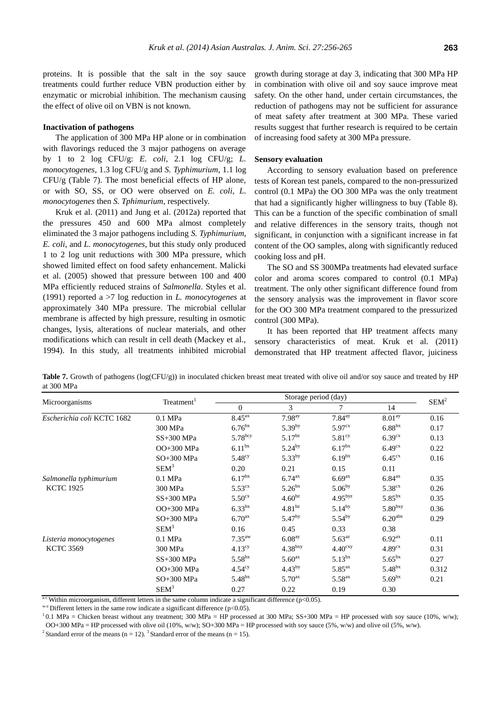proteins. It is possible that the salt in the soy sauce treatments could further reduce VBN production either by enzymatic or microbial inhibition. The mechanism causing the effect of olive oil on VBN is not known.

#### **Inactivation of pathogens**

The application of 300 MPa HP alone or in combination with flavorings reduced the 3 major pathogens on average by 1 to 2 log CFU/g: *E. coli*, 2.1 log CFU/g; *L. monocytogenes*, 1.3 log CFU/g and *S. Typhimurium*, 1.1 log CFU/g (Table 7). The most beneficial effects of HP alone, or with SO, SS, or OO were observed on *E. coli*, *L. monocytogenes* then *S. Tphimurium*, respectively.

Kruk et al. (2011) and Jung et al. (2012a) reported that the pressures 450 and 600 MPa almost completely eliminated the 3 major pathogens including *S. Typhimurium*, *E. coli*, and *L. monocytogenes*, but this study only produced 1 to 2 log unit reductions with 300 MPa pressure, which showed limited effect on food safety enhancement. Malicki et al. (2005) showed that pressure between 100 and 400 MPa efficiently reduced strains of *Salmonella*. Styles et al. (1991) reported a >7 log reduction in *L. monocytogenes* at approximately 340 MPa pressure. The microbial cellular membrane is affected by high pressure, resulting in osmotic changes, lysis, alterations of nuclear materials, and other modifications which can result in cell death (Mackey et al., 1994). In this study, all treatments inhibited microbial

growth during storage at day 3, indicating that 300 MPa HP in combination with olive oil and soy sauce improve meat safety. On the other hand, under certain circumstances, the reduction of pathogens may not be sufficient for assurance of meat safety after treatment at 300 MPa. These varied results suggest that further research is required to be certain of increasing food safety at 300 MPa pressure.

#### **Sensory evaluation**

According to sensory evaluation based on preference tests of Korean test panels, compared to the non-pressurized control (0.1 MPa) the OO 300 MPa was the only treatment that had a significantly higher willingness to buy (Table 8). This can be a function of the specific combination of small and relative differences in the sensory traits, though not significant, in conjunction with a significant increase in fat content of the OO samples, along with significantly reduced cooking loss and pH.

The SO and SS 300MPa treatments had elevated surface color and aroma scores compared to control (0.1 MPa) treatment. The only other significant difference found from the sensory analysis was the improvement in flavor score for the OO 300 MPa treatment compared to the pressurized control (300 MPa).

It has been reported that HP treatment affects many sensory characteristics of meat. Kruk et al. (2011) demonstrated that HP treatment affected flavor, juiciness

**Table 7.** Growth of pathogens (log(CFU/g)) in inoculated chicken breast meat treated with olive oil and/or soy sauce and treated by HP at 300 MPa

| Microorganisms             |                        |                    | Storage period (day) |                     |                     |         |
|----------------------------|------------------------|--------------------|----------------------|---------------------|---------------------|---------|
|                            | Treatment <sup>1</sup> | $\Omega$           | 3                    | 7                   | 14                  | $SEM^2$ |
| Escherichia coli KCTC 1682 | $0.1$ MPa              | 8.45 <sup>ax</sup> | 7.98 <sup>ay</sup>   | 7.84 <sup>ay</sup>  | 8.01 <sup>ay</sup>  | 0.16    |
|                            | 300 MPa                | 6.76 <sup>bx</sup> | 5.39 <sup>by</sup>   | 5.97 <sup>cx</sup>  | 6.88 <sup>bx</sup>  | 0.17    |
|                            | SS+300 MPa             | $5.78^{bcy}$       | $5.17^{bz}$          | $5.81^\text{cy}$    | 6.39 <sup>cx</sup>  | 0.13    |
|                            | OO+300 MPa             | 6.11 <sup>bx</sup> | $5.24^{by}$          | 6.17 <sup>bx</sup>  | 6.49 <sup>cx</sup>  | 0.22    |
|                            | SO+300 MPa             | 5.48 <sup>cy</sup> | $5.33^{by}$          | 6.19 <sup>bx</sup>  | $6.45^{\text{cx}}$  | 0.16    |
|                            | $SEM^3$                | 0.20               | 0.21                 | 0.15                | 0.11                |         |
| Salmonella typhimurium     | $0.1$ MPa              | 6.17 <sup>bx</sup> | $6.74^{ax}$          | 6.69 <sup>ax</sup>  | 6.84 <sup>ax</sup>  | 0.35    |
| <b>KCTC 1925</b>           | 300 MPa                | $5.53^{cx}$        | 5.26 <sup>bx</sup>   | $5.06^{by}$         | 5.38 <sup>cx</sup>  | 0.26    |
|                            | SS+300 MPa             | $5.50^{cx}$        | 4.60 <sup>bz</sup>   | $4.95^{byz}$        | 5.85 <sup>bx</sup>  | 0.35    |
|                            | OO+300 MPa             | 6.33 <sup>bx</sup> | $4.81^{bz}$          | $5.14^{by}$         | $5.80^{bxy}$        | 0.36    |
|                            | SO+300 MPa             | 6.70 <sup>ax</sup> | $5.47^{by}$          | $5.54^{by}$         | 6.20 <sup>abs</sup> | 0.29    |
|                            | $SEM^3$                | 0.16               | 0.45                 | 0.33                | 0.38                |         |
| Listeria monocytogenes     | $0.1$ MPa              | 7.35 <sup>aw</sup> | 6.08 <sup>ay</sup>   | $5.63^{az}$         | 6.92 <sup>ax</sup>  | 0.11    |
| <b>KCTC 3569</b>           | 300 MPa                | 4.13 <sup>cy</sup> | 4.38 <sup>bxy</sup>  | 4.40 <sup>cxy</sup> | 4.89 <sup>cx</sup>  | 0.31    |
|                            | SS+300 MPa             | $5.58^{bx}$        | 5.60 <sup>ax</sup>   | $5.13^{bx}$         | $5.65^{bx}$         | 0.27    |
|                            | OO+300 MPa             | 4.54 <sup>cy</sup> | $4.43^{by}$          | 5.85 <sup>ax</sup>  | 5.48 <sup>bx</sup>  | 0.312   |
|                            | SO+300 MPa             | 5.48 <sup>bx</sup> | 5.70 <sup>ax</sup>   | 5.58 <sup>ax</sup>  | 5.69 <sup>bx</sup>  | 0.21    |
|                            | $SEM^3$                | 0.27               | 0.22                 | 0.19                | 0.30                |         |

<sup>a-c</sup> Within microorganism, different letters in the same column indicate a significant difference ( $p<0.05$ ).

 $^{wz}$  Different letters in the same row indicate a significant difference (p<0.05).

 $10.1$  MPa = Chicken breast without any treatment; 300 MPa = HP processed at 300 MPa; SS+300 MPa = HP processed with soy sauce (10%, w/w); OO+300 MPa = HP processed with olive oil (10%, w/w); SO+300 MPa = HP processed with soy sauce (5%, w/w) and olive oil (5%, w/w).

<sup>2</sup> Standard error of the means (n = 12). <sup>3</sup> Standard error of the means (n = 15).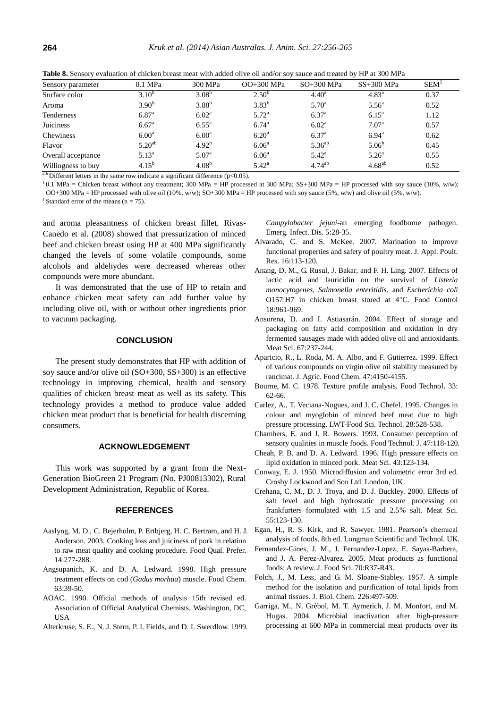| Sensory parameter  | $0.1$ MPa         | 300 MPa           | $OO+300$ MPa      | $SO+300$ MPa   | $SS+300$ MPa      | <b>SEM</b> |
|--------------------|-------------------|-------------------|-------------------|----------------|-------------------|------------|
| Surface color      | $3.10^{b}$        | $3.08^{b}$        | $2.50^{b}$        | $4.40^{\rm a}$ | $4.83^{\rm a}$    | 0.37       |
| Aroma              | 3.90 <sup>b</sup> | $3.88^{b}$        | $3.83^{b}$        | $5.70^{\circ}$ | $5.56^{\circ}$    | 0.52       |
| <b>Tenderness</b>  | $6.87^{a}$        | 6.02 <sup>a</sup> | 5.72 <sup>a</sup> | $6.37^{a}$     | $6.15^{\rm a}$    | 1.12       |
| <b>Juiciness</b>   | $6.67^{\rm a}$    | $6.55^{\rm a}$    | $6.74^{\rm a}$    | $6.02^{\rm a}$ | 7.07 <sup>a</sup> | 0.57       |
| Chewiness          | $6.00^{\rm a}$    | $6.00^{\rm a}$    | $6.20^{\rm a}$    | $6.37^{a}$     | $6.94^{\rm a}$    | 0.62       |
| Flavor             | $5.20^{ab}$       | $4.92^{b}$        | 6.06 <sup>a</sup> | $5.36^{ab}$    | $5.06^{b}$        | 0.45       |
| Overall acceptance | $5.13^{a}$        | 5.07 <sup>a</sup> | 6.06 <sup>a</sup> | $5.42^{\rm a}$ | 5.26 <sup>a</sup> | 0.55       |
| Willingness to buy | $4.15^{b}$        | $4.08^{b}$        | $5.42^{\rm a}$    | $4.74^{ab}$    | $4.68^{ab}$       | 0.52       |

**Table 8.** Sensory evaluation of chicken breast meat with added olive oil and/or soy sauce and treated by HP at 300 MPa

 $a-b$  Different letters in the same row indicate a significant difference (p<0.05).

<sup>1</sup>0.1 MPa = Chicken breast without any treatment; 300 MPa = HP processed at 300 MPa; SS+300 MPa = HP processed with soy sauce (10%, w/w); OO+300 MPa = HP processed with olive oil (10%, w/w); SO+300 MPa = HP processed with soy sauce (5%, w/w) and olive oil (5%, w/w).

<sup>1</sup> Standard error of the means ( $n = 75$ ).

and aroma pleasantness of chicken breast fillet. Rivas-Canedo et al. (2008) showed that pressurization of minced beef and chicken breast using HP at 400 MPa significantly changed the levels of some volatile compounds, some alcohols and aldehydes were decreased whereas other compounds were more abundant.

It was demonstrated that the use of HP to retain and enhance chicken meat safety can add further value by including olive oil, with or without other ingredients prior to vacuum packaging.

## **CONCLUSION**

The present study demonstrates that HP with addition of soy sauce and/or olive oil (SO+300, SS+300) is an effective technology in improving chemical, health and sensory qualities of chicken breast meat as well as its safety. This technology provides a method to produce value added chicken meat product that is beneficial for health discerning consumers.

# **ACKNOWLEDGEMENT**

This work was supported by a grant from the Next-Generation BioGreen 21 Program (No. PJ00813302), Rural Development Administration, Republic of Korea.

# **REFERENCES**

- Aaslyng, M. D., C. Bejerholm, P. Ertbjerg, H. C. Bertram, and H. J. Anderson. 2003. [Cooking loss and juiciness of pork in relation](http://www.sciencedirect.com/science/article/pii/S0950329302000861)  [to raw meat quality and cooking procedure.](http://www.sciencedirect.com/science/article/pii/S0950329302000861) Food Qual. Prefer. 14:277-288.
- Angsupanich, K. and D. A. Ledward. 1998. [High pressure](http://www.sciencedirect.com/science/article/pii/S0308814697002343)  [treatment effects on cod \(](http://www.sciencedirect.com/science/article/pii/S0308814697002343)*Gadus morhua*) muscle. Food Chem. 63:39-50.
- AOAC. 1990. Official methods of analysis 15th revised ed. Association of Official Analytical Chemists. Washington, DC, **USA**
- Alterkruse, S. E., N. J. Stern, P. I. Fields, and D. I. Swerdlow. 1999.

*Campylobacter jejuni*[-an emerging foodborne pathogen.](http://www.ncbi.nlm.nih.gov/pmc/articles/PMC2627687/) Emerg. Infect. Dis. 5:28-35.

- Alvarado, C. and S. McKee. 2007. [Marination to improve](http://japr.fass.org/content/16/1/113.short)  [functional properties and safety of poultry meat.](http://japr.fass.org/content/16/1/113.short) J. Appl. Poult. Res. 16:113-120.
- Anang, D. M., G. Rusul, J. Bakar, and F. H. Ling. 2007. [Effects of](http://www.sciencedirect.com/science/article/pii/S095671350600137X)  [lactic acid and lauricidin on the survival of](http://www.sciencedirect.com/science/article/pii/S095671350600137X) *Listeria monocytogenes*, *[Salmonella enteritidis](http://www.sciencedirect.com/science/article/pii/S095671350600137X)*, and *Escherichia coli* [O157:H7 in chicken breast stored at 4](http://www.sciencedirect.com/science/article/pii/S095671350600137X)°C. Food Control 18:961-969.
- Ansorena, D. and I. Astiasarán. 2004. [Effect of storage and](http://www.sciencedirect.com/science/article/pii/S030917400300278X)  [packaging on fatty acid composition and oxidation in dry](http://www.sciencedirect.com/science/article/pii/S030917400300278X)  [fermented sausages made with added olive oil and antioxidants.](http://www.sciencedirect.com/science/article/pii/S030917400300278X)  Meat Sci. 67:237-244.
- Aparicio, R., L. Roda, M. A. Albo, and F. Gutierrez. 1999. [Effect](http://pubs.acs.org/doi/abs/10.1021/jf9812230)  [of various compounds on virgin olive oil stability measured by](http://pubs.acs.org/doi/abs/10.1021/jf9812230)  [rancimat.](http://pubs.acs.org/doi/abs/10.1021/jf9812230) J. Agric. Food Chem. 47:4150-4155.
- Bourne, M. C. 1978. Texture profile analysis. Food Technol. 33: 62-66.
- Carlez, A., T. Veciana-Nogues, and J. C. Chefel. 1995. [Changes in](http://www.sciencedirect.com/science/article/pii/S0023643885700886)  [colour and myoglobin of minced beef meat due to high](http://www.sciencedirect.com/science/article/pii/S0023643885700886)  [pressure processing.](http://www.sciencedirect.com/science/article/pii/S0023643885700886) LWT-Food Sci. Technol. 28:528-538.
- Chambers, E. and J. R. Bowers. 1993. Consumer perception of sensory qualities in muscle foods. Food Technol. J. 47:118-120.
- Cheah, P. B. and D. A. Ledward. 1996. [High pressure effects on](http://www.sciencedirect.com/science/article/pii/0309174096845840)  [lipid oxidation in minced pork.](http://www.sciencedirect.com/science/article/pii/0309174096845840) Meat Sci. 43:123-134.
- Conway, E. J. 1950. Microdiffusion and volumetric error 3rd ed. Crosby Lockwood and Son Ltd. London, UK.
- Crehana, C. M., D. J. Troya, and D. J. Buckley. 2000. [Effects of](http://www.sciencedirect.com/science/article/pii/S0309174099001345)  [salt level and high hydrostatic pressure processing on](http://www.sciencedirect.com/science/article/pii/S0309174099001345)  [frankfurters formulated with 1.5 and 2.5%](http://www.sciencedirect.com/science/article/pii/S0309174099001345) salt. Meat Sci. 55:123-130.
- Egan, H., R. S. Kirk, and R. Sawyer. 1981. Pearson's chemical analysis of foods. 8th ed. Longman Scientific and Technol. UK.
- Fernandez-Gines, J. M., J. Fernandez-Lopez, E. Sayas-Barbera, and J. A. Perez-Alvarez. 2005. [Meat products as functional](http://onlinelibrary.wiley.com/doi/10.1111/j.1365-2621.2005.tb07110.x/abstract)  [foods: A review.](http://onlinelibrary.wiley.com/doi/10.1111/j.1365-2621.2005.tb07110.x/abstract) J. Food Sci. 70:R37-R43.
- Folch, J., M. Less, and G. M. Sloane-Stabley. 1957. [A simple](http://www.aufsi.auburn.edu/recommendedmethods/05B01c03a.pdf)  [method for the isolation and purification of total lipids from](http://www.aufsi.auburn.edu/recommendedmethods/05B01c03a.pdf)  [animal tissues.](http://www.aufsi.auburn.edu/recommendedmethods/05B01c03a.pdf) J. Biol. Chem. 226:497-509.
- Garriga, M., N. Grèbol, M. T. Aymerich, J. M. Monfort, and M. Hugas. 2004. [Microbial inactivation after](http://www.sciencedirect.com/science/article/pii/S1466856404000591) high-pressure [processing at 600 MPa in commercial meat products over its](http://www.sciencedirect.com/science/article/pii/S1466856404000591)